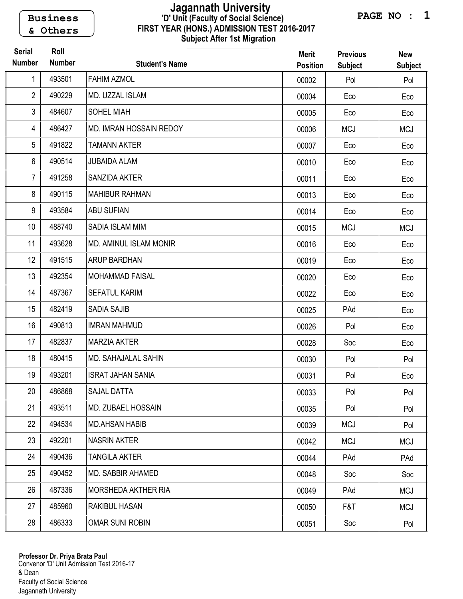Business & Others

## FIRST YEAR (HONS.) ADMISSION TEST 2016-2017 Subject After 1st Migration 'D' Unit (Faculty of Social Science) Jagannath University

| <b>Serial</b><br><b>Number</b> | Roll<br><b>Number</b> | <b>Student's Name</b>         | <b>Merit</b><br><b>Position</b> | <b>Previous</b><br><b>Subject</b> | <b>New</b><br><b>Subject</b> |
|--------------------------------|-----------------------|-------------------------------|---------------------------------|-----------------------------------|------------------------------|
| 1                              | 493501                | <b>FAHIM AZMOL</b>            | 00002                           | Pol                               | Pol                          |
| 2                              | 490229                | MD. UZZAL ISLAM               | 00004                           | Eco                               | Eco                          |
| 3                              | 484607                | <b>SOHEL MIAH</b>             | 00005                           | Eco                               | Eco                          |
| 4                              | 486427                | MD. IMRAN HOSSAIN REDOY       | 00006                           | <b>MCJ</b>                        | <b>MCJ</b>                   |
| 5                              | 491822                | <b>TAMANN AKTER</b>           | 00007                           | Eco                               | Eco                          |
| 6                              | 490514                | <b>JUBAIDA ALAM</b>           | 00010                           | Eco                               | Eco                          |
| $\overline{7}$                 | 491258                | SANZIDA AKTER                 | 00011                           | Eco                               | Eco                          |
| 8                              | 490115                | <b>MAHIBUR RAHMAN</b>         | 00013                           | Eco                               | Eco                          |
| 9                              | 493584                | <b>ABU SUFIAN</b>             | 00014                           | Eco                               | Eco                          |
| 10                             | 488740                | SADIA ISLAM MIM               | 00015                           | <b>MCJ</b>                        | <b>MCJ</b>                   |
| 11                             | 493628                | <b>MD. AMINUL ISLAM MONIR</b> | 00016                           | Eco                               | Eco                          |
| 12                             | 491515                | <b>ARUP BARDHAN</b>           | 00019                           | Eco                               | Eco                          |
| 13                             | 492354                | <b>MOHAMMAD FAISAL</b>        | 00020                           | Eco                               | Eco                          |
| 14                             | 487367                | <b>SEFATUL KARIM</b>          | 00022                           | Eco                               | Eco                          |
| 15                             | 482419                | <b>SADIA SAJIB</b>            | 00025                           | PAd                               | Eco                          |
| 16                             | 490813                | <b>IMRAN MAHMUD</b>           | 00026                           | Pol                               | Eco                          |
| 17                             | 482837                | <b>MARZIA AKTER</b>           | 00028                           | Soc                               | Eco                          |
| 18                             | 480415                | <b>MD. SAHAJALAL SAHIN</b>    | 00030                           | Pol                               | Pol                          |
| 19                             | 493201                | <b>ISRAT JAHAN SANIA</b>      | 00031                           | Pol                               | Eco                          |
| 20                             | 486868                | SAJAL DATTA                   | 00033                           | Pol                               | Pol                          |
| 21                             | 493511                | MD. ZUBAEL HOSSAIN            | 00035                           | Pol                               | Pol                          |
| 22                             | 494534                | <b>MD.AHSAN HABIB</b>         | 00039                           | <b>MCJ</b>                        | Pol                          |
| 23                             | 492201                | <b>NASRIN AKTER</b>           | 00042                           | <b>MCJ</b>                        | <b>MCJ</b>                   |
| 24                             | 490436                | <b>TANGILA AKTER</b>          | 00044                           | PAd                               | PAd                          |
| 25                             | 490452                | MD. SABBIR AHAMED             | 00048                           | Soc                               | Soc                          |
| 26                             | 487336                | MORSHEDA AKTHER RIA           | 00049                           | PAd                               | <b>MCJ</b>                   |
| 27                             | 485960                | RAKIBUL HASAN                 | 00050                           | F&T                               | <b>MCJ</b>                   |
| 28                             | 486333                | <b>OMAR SUNI ROBIN</b>        | 00051                           | Soc                               | Pol                          |